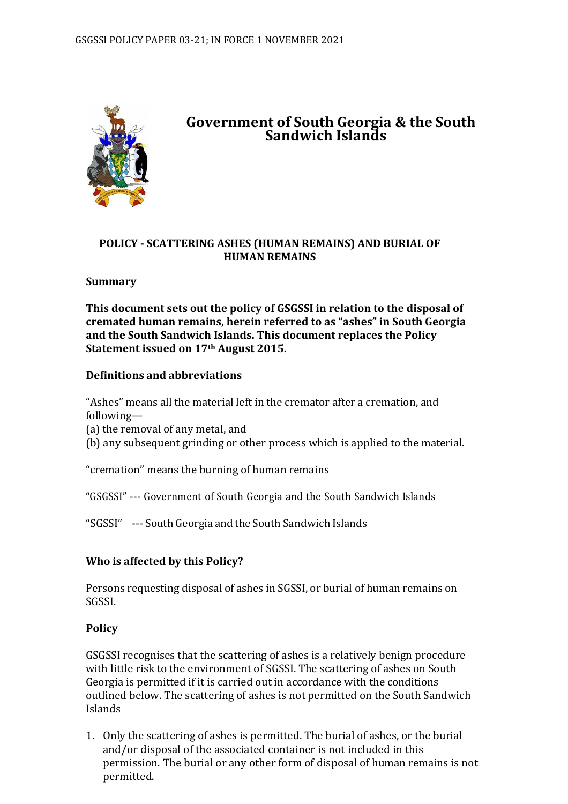

# **Government of South Georgia & the South Sandwich Islands**

### **POLICY - SCATTERING ASHES (HUMAN REMAINS) AND BURIAL OF HUMAN REMAINS**

## **Summary**

**This document sets out the policy of GSGSSI in relation to the disposal of cremated human remains, herein referred to as "ashes" in South Georgia and the South Sandwich Islands. This document replaces the Policy Statement issued on 17th August 2015.**

### **Definitions and abbreviations**

"Ashes" means all the material left in the cremator after a cremation, and following—

(a) the removal of any metal, and

(b) any subsequent grinding or other process which is applied to the material.

"cremation" means the burning of human remains

"GSGSSI" --- Government of South Georgia and the South Sandwich Islands

"SGSSI" --- South Georgia and the South Sandwich Islands

# **Who is affected by this Policy?**

Persons requesting disposal of ashes in SGSSI, or burial of human remains on SGSSI.

# **Policy**

GSGSSI recognises that the scattering of ashes is a relatively benign procedure with little risk to the environment of SGSSI. The scattering of ashes on South Georgia is permitted if it is carried out in accordance with the conditions outlined below. The scattering of ashes is not permitted on the South Sandwich Islands

1. Only the scattering of ashes is permitted. The burial of ashes, or the burial and/or disposal of the associated container is not included in this permission. The burial or any other form of disposal of human remains is not permitted.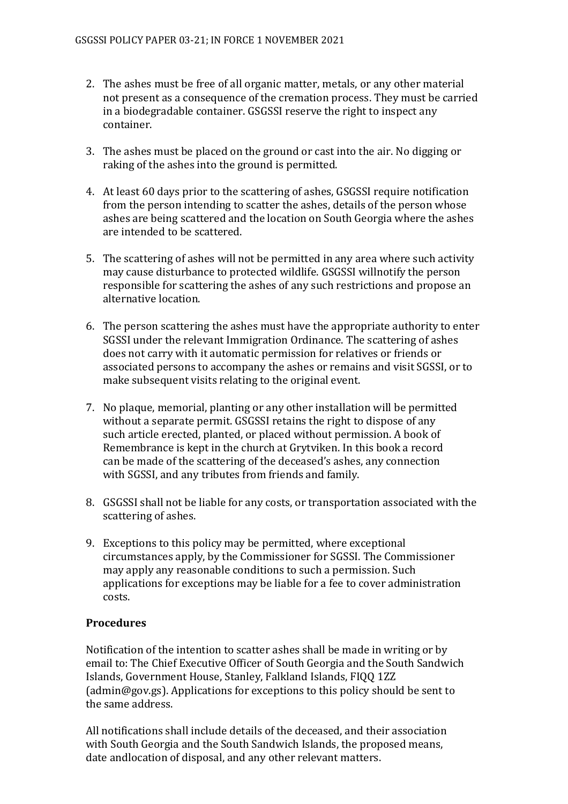- 2. The ashes must be free of all organic matter, metals, or any other material not present as a consequence of the cremation process. They must be carried in a biodegradable container. GSGSSI reserve the right to inspect any container.
- 3. The ashes must be placed on the ground or cast into the air. No digging or raking of the ashes into the ground is permitted.
- 4. At least 60 days prior to the scattering of ashes, GSGSSI require notification from the person intending to scatter the ashes, details of the person whose ashes are being scattered and the location on South Georgia where the ashes are intended to be scattered.
- 5. The scattering of ashes will not be permitted in any area where such activity may cause disturbance to protected wildlife. GSGSSI willnotify the person responsible for scattering the ashes of any such restrictions and propose an alternative location.
- 6. The person scattering the ashes must have the appropriate authority to enter SGSSI under the relevant Immigration Ordinance. The scattering of ashes does not carry with it automatic permission for relatives or friends or associated persons to accompany the ashes or remains and visit SGSSI, or to make subsequent visits relating to the original event.
- 7. No plaque, memorial, planting or any other installation will be permitted without a separate permit. GSGSSI retains the right to dispose of any such article erected, planted, or placed without permission. A book of Remembrance is kept in the church at Grytviken. In this book a record can be made of the scattering of the deceased's ashes, any connection with SGSSI, and any tributes from friends and family.
- 8. GSGSSI shall not be liable for any costs, or transportation associated with the scattering of ashes.
- 9. Exceptions to this policy may be permitted, where exceptional circumstances apply, by the Commissioner for SGSSI. The Commissioner may apply any reasonable conditions to such a permission. Such applications for exceptions may be liable for a fee to cover administration costs.

### **Procedures**

Notification of the intention to scatter ashes shall be made in writing or by email to: The Chief Executive Officer of South Georgia and the South Sandwich Islands, Government House, Stanley, Falkland Islands, FIQQ 1ZZ (admin@gov.gs). Applications for exceptions to this policy should be sent to the same address.

All notifications shall include details of the deceased, and their association with South Georgia and the South Sandwich Islands, the proposed means, date andlocation of disposal, and any other relevant matters.